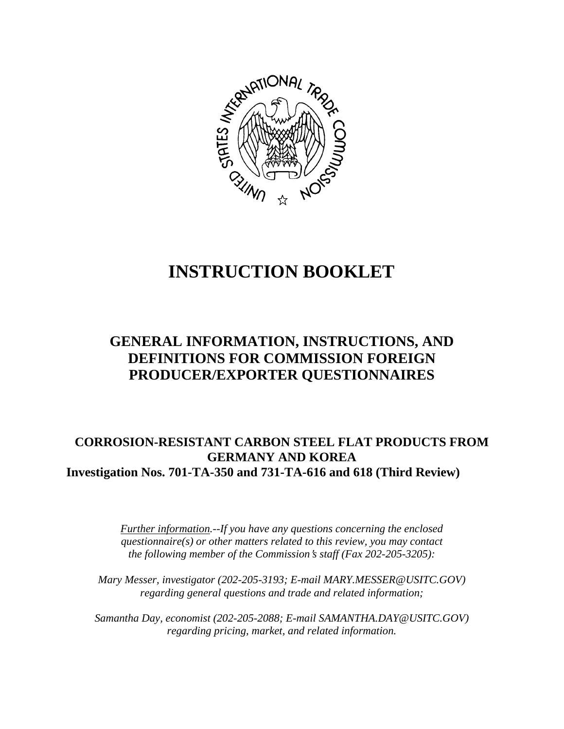

# **INSTRUCTION BOOKLET**

# **GENERAL INFORMATION, INSTRUCTIONS, AND DEFINITIONS FOR COMMISSION FOREIGN PRODUCER/EXPORTER QUESTIONNAIRES**

# **CORROSION-RESISTANT CARBON STEEL FLAT PRODUCTS FROM GERMANY AND KOREA Investigation Nos. 701-TA-350 and 731-TA-616 and 618 (Third Review)**

*Further information.--If you have any questions concerning the enclosed questionnaire(s) or other matters related to this review, you may contact the following member of the Commission*=*s staff (Fax 202-205-3205):* 

*Mary Messer, investigator (202-205-3193; E-mail MARY.MESSER@USITC.GOV) regarding general questions and trade and related information;* 

*Samantha Day, economist (202-205-2088; E-mail SAMANTHA.DAY@USITC.GOV) regarding pricing, market, and related information.*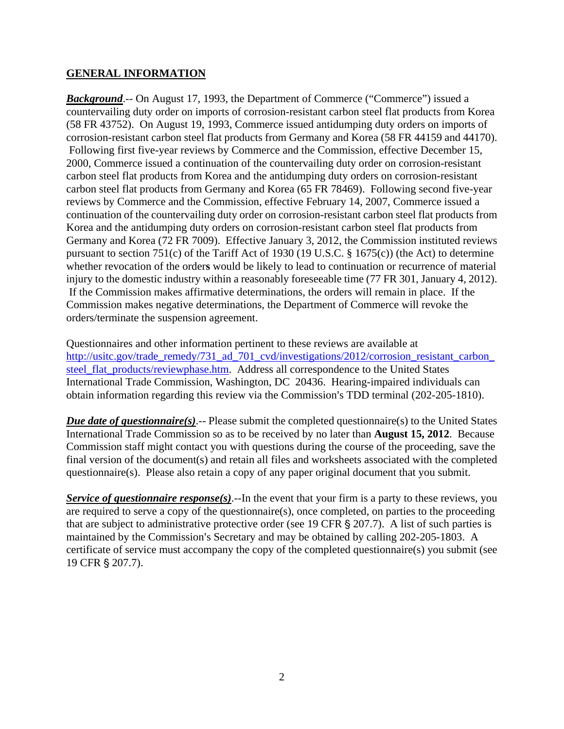## **GENERAL INFORMATION**

*Background*.-- On August 17, 1993, the Department of Commerce ("Commerce") issued a countervailing duty order on imports of corrosion-resistant carbon steel flat products from Korea (58 FR 43752). On August 19, 1993, Commerce issued antidumping duty orders on imports of corrosion-resistant carbon steel flat products from Germany and Korea (58 FR 44159 and 44170). Following first five-year reviews by Commerce and the Commission, effective December 15, 2000, Commerce issued a continuation of the countervailing duty order on corrosion-resistant carbon steel flat products from Korea and the antidumping duty orders on corrosion-resistant carbon steel flat products from Germany and Korea (65 FR 78469). Following second five-year reviews by Commerce and the Commission, effective February 14, 2007, Commerce issued a continuation of the countervailing duty order on corrosion-resistant carbon steel flat products from Korea and the antidumping duty orders on corrosion-resistant carbon steel flat products from Germany and Korea (72 FR 7009). Effective January 3, 2012, the Commission instituted reviews pursuant to section 751(c) of the Tariff Act of 1930 (19 U.S.C. § 1675(c)) (the Act) to determine whether revocation of the order**s** would be likely to lead to continuation or recurrence of material injury to the domestic industry within a reasonably foreseeable time (77 FR 301, January 4, 2012). If the Commission makes affirmative determinations, the orders will remain in place. If the Commission makes negative determinations, the Department of Commerce will revoke the orders/terminate the suspension agreement.

Questionnaires and other information pertinent to these reviews are available at http://usitc.gov/trade\_remedy/731\_ad\_701\_cvd/investigations/2012/corrosion\_resistant\_carbon steel\_flat\_products/reviewphase.htm. Address all correspondence to the United States International Trade Commission, Washington, DC 20436. Hearing-impaired individuals can obtain information regarding this review via the Commission's TDD terminal (202-205-1810).

*Due date of questionnaire(s).*-- Please submit the completed questionnaire(s) to the United States International Trade Commission so as to be received by no later than **August 15, 2012**. Because Commission staff might contact you with questions during the course of the proceeding, save the final version of the document(s) and retain all files and worksheets associated with the completed questionnaire(s). Please also retain a copy of any paper original document that you submit.

*Service of questionnaire response(s).*--In the event that your firm is a party to these reviews, you are required to serve a copy of the questionnaire(s), once completed, on parties to the proceeding that are subject to administrative protective order (see 19 CFR  $\S 207.7$ ). A list of such parties is maintained by the Commission's Secretary and may be obtained by calling 202-205-1803. A certificate of service must accompany the copy of the completed questionnaire(s) you submit (see 19 CFR § 207.7).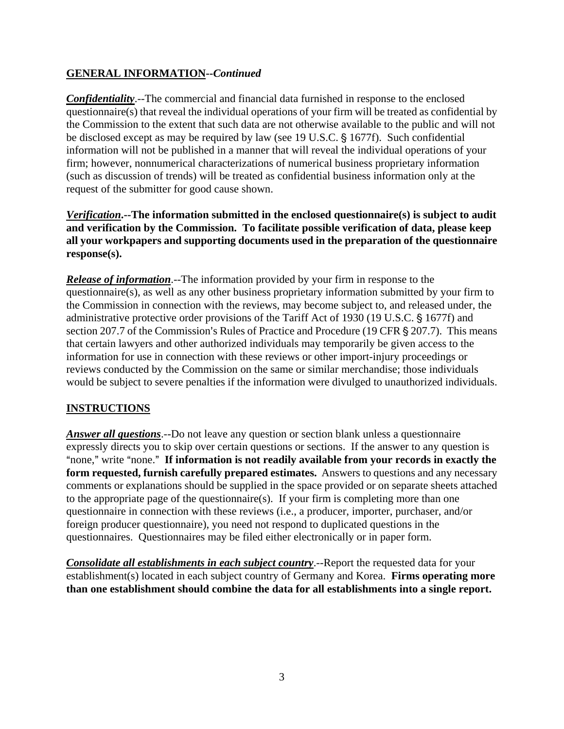# **GENERAL INFORMATION--***Continued*

*Confidentiality*.--The commercial and financial data furnished in response to the enclosed questionnaire(s) that reveal the individual operations of your firm will be treated as confidential by the Commission to the extent that such data are not otherwise available to the public and will not be disclosed except as may be required by law (see 19 U.S.C. § 1677f). Such confidential information will not be published in a manner that will reveal the individual operations of your firm; however, nonnumerical characterizations of numerical business proprietary information (such as discussion of trends) will be treated as confidential business information only at the request of the submitter for good cause shown.

*Verification***.--The information submitted in the enclosed questionnaire(s) is subject to audit and verification by the Commission. To facilitate possible verification of data, please keep all your workpapers and supporting documents used in the preparation of the questionnaire response(s).**

*Release of information*.--The information provided by your firm in response to the questionnaire(s), as well as any other business proprietary information submitted by your firm to the Commission in connection with the reviews, may become subject to, and released under, the administrative protective order provisions of the Tariff Act of 1930 (19 U.S.C. § 1677f) and section 207.7 of the Commission's Rules of Practice and Procedure (19 CFR  $\S$  207.7). This means that certain lawyers and other authorized individuals may temporarily be given access to the information for use in connection with these reviews or other import-injury proceedings or reviews conducted by the Commission on the same or similar merchandise; those individuals would be subject to severe penalties if the information were divulged to unauthorized individuals.

# **INSTRUCTIONS**

*Answer all questions*.--Do not leave any question or section blank unless a questionnaire expressly directs you to skip over certain questions or sections. If the answer to any question is "none," write "none." If information is not readily available from your records in exactly the **form requested, furnish carefully prepared estimates.** Answers to questions and any necessary comments or explanations should be supplied in the space provided or on separate sheets attached to the appropriate page of the questionnaire(s). If your firm is completing more than one questionnaire in connection with these reviews (i.e., a producer, importer, purchaser, and/or foreign producer questionnaire), you need not respond to duplicated questions in the questionnaires. Questionnaires may be filed either electronically or in paper form.

*Consolidate all establishments in each subject country*.--Report the requested data for your establishment(s) located in each subject country of Germany and Korea. **Firms operating more than one establishment should combine the data for all establishments into a single report.**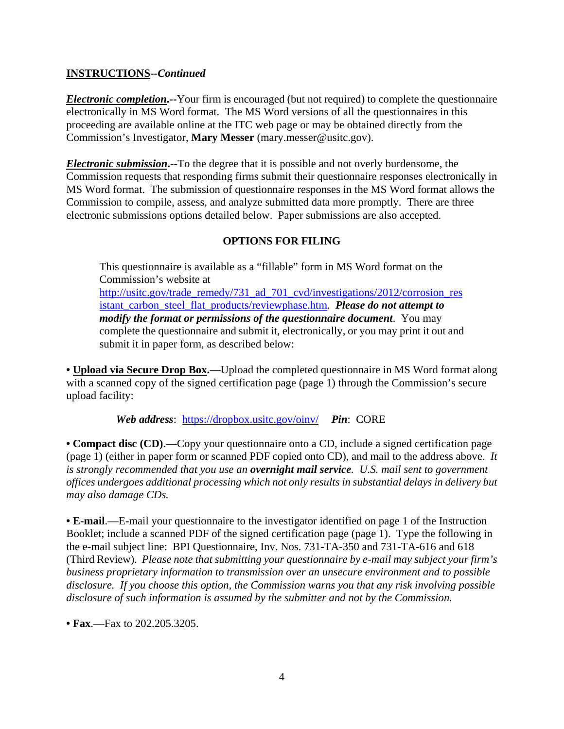# **INSTRUCTIONS--***Continued*

*Electronic completion***.--**Your firm is encouraged (but not required) to complete the questionnaire electronically in MS Word format. The MS Word versions of all the questionnaires in this proceeding are available online at the ITC web page or may be obtained directly from the Commission's Investigator, **Mary Messer** (mary.messer@usitc.gov).

*Electronic submission***.--**To the degree that it is possible and not overly burdensome, the Commission requests that responding firms submit their questionnaire responses electronically in MS Word format. The submission of questionnaire responses in the MS Word format allows the Commission to compile, assess, and analyze submitted data more promptly. There are three electronic submissions options detailed below. Paper submissions are also accepted.

# **OPTIONS FOR FILING**

This questionnaire is available as a "fillable" form in MS Word format on the Commission's website at http://usitc.gov/trade\_remedy/731\_ad\_701\_cvd/investigations/2012/corrosion\_res istant\_carbon\_steel\_flat\_products/reviewphase.htm. *Please do not attempt to modify the format or permissions of the questionnaire document*. You may complete the questionnaire and submit it, electronically, or you may print it out and submit it in paper form, as described below:

**• Upload via Secure Drop Box.**—Upload the completed questionnaire in MS Word format along with a scanned copy of the signed certification page (page 1) through the Commission's secure upload facility:

*Web address*: https://dropbox.usitc.gov/oinv/ *Pin*: CORE

**• Compact disc (CD)**.—Copy your questionnaire onto a CD, include a signed certification page (page 1) (either in paper form or scanned PDF copied onto CD), and mail to the address above. *It is strongly recommended that you use an overnight mail service. U.S. mail sent to government offices undergoes additional processing which not only results in substantial delays in delivery but may also damage CDs.* 

**• E-mail**.—E-mail your questionnaire to the investigator identified on page 1 of the Instruction Booklet; include a scanned PDF of the signed certification page (page 1). Type the following in the e-mail subject line: BPI Questionnaire, Inv. Nos. 731-TA-350 and 731-TA-616 and 618 (Third Review). *Please note that submitting your questionnaire by e-mail may subject your firm's business proprietary information to transmission over an unsecure environment and to possible disclosure. If you choose this option, the Commission warns you that any risk involving possible disclosure of such information is assumed by the submitter and not by the Commission.* 

**• Fax**.—Fax to 202.205.3205.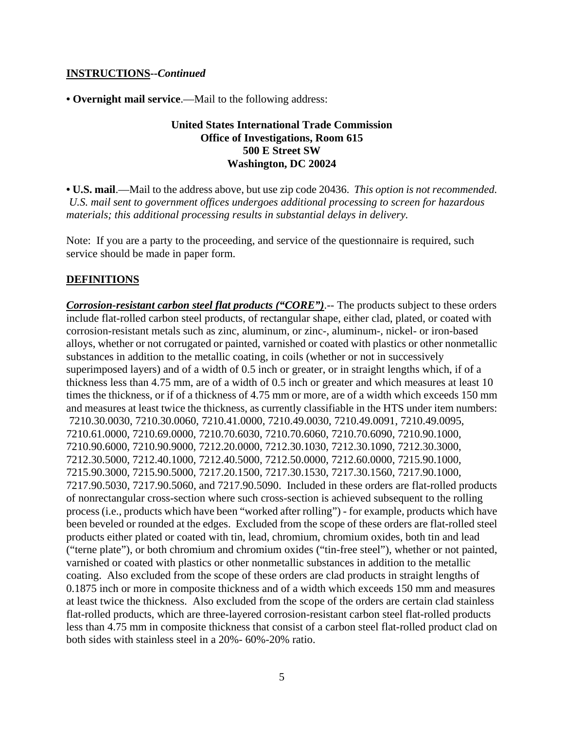### **INSTRUCTIONS--***Continued*

**• Overnight mail service**.—Mail to the following address:

## **United States International Trade Commission Office of Investigations, Room 615 500 E Street SW Washington, DC 20024**

**• U.S. mail**.—Mail to the address above, but use zip code 20436. *This option is not recommended. U.S. mail sent to government offices undergoes additional processing to screen for hazardous materials; this additional processing results in substantial delays in delivery.* 

Note: If you are a party to the proceeding, and service of the questionnaire is required, such service should be made in paper form.

## **DEFINITIONS**

*Corrosion-resistant carbon steel flat products ("CORE")*.-- The products subject to these orders include flat-rolled carbon steel products, of rectangular shape, either clad, plated, or coated with corrosion-resistant metals such as zinc, aluminum, or zinc-, aluminum-, nickel- or iron-based alloys, whether or not corrugated or painted, varnished or coated with plastics or other nonmetallic substances in addition to the metallic coating, in coils (whether or not in successively superimposed layers) and of a width of 0.5 inch or greater, or in straight lengths which, if of a thickness less than 4.75 mm, are of a width of 0.5 inch or greater and which measures at least 10 times the thickness, or if of a thickness of 4.75 mm or more, are of a width which exceeds 150 mm and measures at least twice the thickness, as currently classifiable in the HTS under item numbers: 7210.30.0030, 7210.30.0060, 7210.41.0000, 7210.49.0030, 7210.49.0091, 7210.49.0095, 7210.61.0000, 7210.69.0000, 7210.70.6030, 7210.70.6060, 7210.70.6090, 7210.90.1000, 7210.90.6000, 7210.90.9000, 7212.20.0000, 7212.30.1030, 7212.30.1090, 7212.30.3000, 7212.30.5000, 7212.40.1000, 7212.40.5000, 7212.50.0000, 7212.60.0000, 7215.90.1000, 7215.90.3000, 7215.90.5000, 7217.20.1500, 7217.30.1530, 7217.30.1560, 7217.90.1000, 7217.90.5030, 7217.90.5060, and 7217.90.5090. Included in these orders are flat-rolled products of nonrectangular cross-section where such cross-section is achieved subsequent to the rolling process (i.e., products which have been "worked after rolling") - for example, products which have been beveled or rounded at the edges. Excluded from the scope of these orders are flat-rolled steel products either plated or coated with tin, lead, chromium, chromium oxides, both tin and lead ("terne plate"), or both chromium and chromium oxides ("tin-free steel"), whether or not painted, varnished or coated with plastics or other nonmetallic substances in addition to the metallic coating. Also excluded from the scope of these orders are clad products in straight lengths of 0.1875 inch or more in composite thickness and of a width which exceeds 150 mm and measures at least twice the thickness. Also excluded from the scope of the orders are certain clad stainless flat-rolled products, which are three-layered corrosion-resistant carbon steel flat-rolled products less than 4.75 mm in composite thickness that consist of a carbon steel flat-rolled product clad on both sides with stainless steel in a 20%- 60%-20% ratio.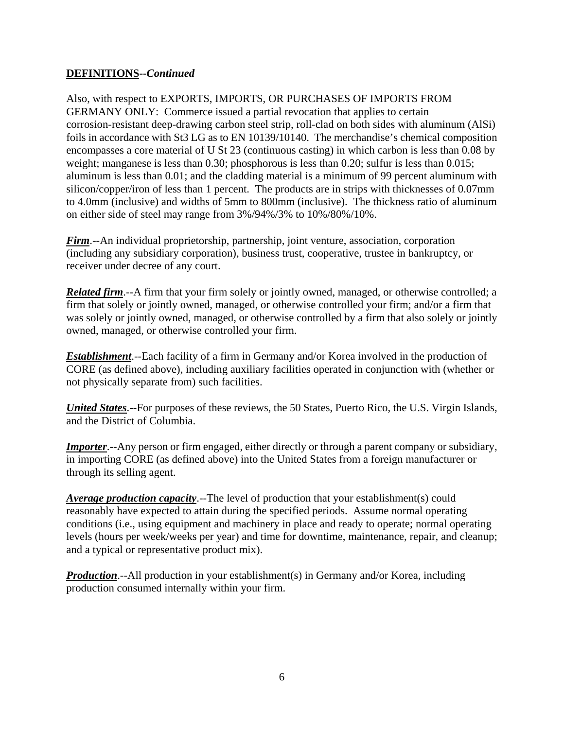# **DEFINITIONS--***Continued*

Also, with respect to EXPORTS, IMPORTS, OR PURCHASES OF IMPORTS FROM GERMANY ONLY: Commerce issued a partial revocation that applies to certain corrosion-resistant deep-drawing carbon steel strip, roll-clad on both sides with aluminum (AlSi) foils in accordance with St3 LG as to EN 10139/10140. The merchandise's chemical composition encompasses a core material of U St 23 (continuous casting) in which carbon is less than 0.08 by weight; manganese is less than 0.30; phosphorous is less than 0.20; sulfur is less than 0.015; aluminum is less than 0.01; and the cladding material is a minimum of 99 percent aluminum with silicon/copper/iron of less than 1 percent. The products are in strips with thicknesses of 0.07mm to 4.0mm (inclusive) and widths of 5mm to 800mm (inclusive). The thickness ratio of aluminum on either side of steel may range from 3%/94%/3% to 10%/80%/10%.

*Firm*.--An individual proprietorship, partnership, joint venture, association, corporation (including any subsidiary corporation), business trust, cooperative, trustee in bankruptcy, or receiver under decree of any court.

*Related firm*.--A firm that your firm solely or jointly owned, managed, or otherwise controlled; a firm that solely or jointly owned, managed, or otherwise controlled your firm; and/or a firm that was solely or jointly owned, managed, or otherwise controlled by a firm that also solely or jointly owned, managed, or otherwise controlled your firm.

*Establishment*.--Each facility of a firm in Germany and/or Korea involved in the production of CORE (as defined above), including auxiliary facilities operated in conjunction with (whether or not physically separate from) such facilities.

*United States*.--For purposes of these reviews, the 50 States, Puerto Rico, the U.S. Virgin Islands, and the District of Columbia.

*Importer*.--Any person or firm engaged, either directly or through a parent company or subsidiary, in importing CORE (as defined above) into the United States from a foreign manufacturer or through its selling agent.

*Average production capacity*.--The level of production that your establishment(s) could reasonably have expected to attain during the specified periods. Assume normal operating conditions (i.e., using equipment and machinery in place and ready to operate; normal operating levels (hours per week/weeks per year) and time for downtime, maintenance, repair, and cleanup; and a typical or representative product mix).

*Production*.--All production in your establishment(s) in Germany and/or Korea, including production consumed internally within your firm.